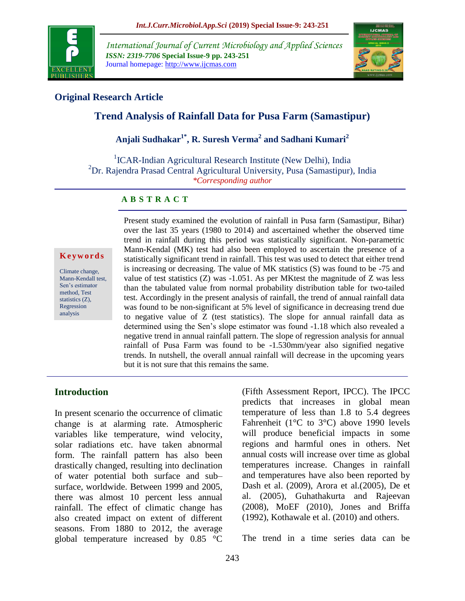

*International Journal of Current Microbiology and Applied Sciences ISSN: 2319-7706* **Special Issue-9 pp. 243-251** Journal homepage: http://www.ijcmas.com



## **Original Research Article**

# **Trend Analysis of Rainfall Data for Pusa Farm (Samastipur)**

# **Anjali Sudhakar1\* , R. Suresh Verma<sup>2</sup> and Sadhani Kumari<sup>2</sup>**

<sup>1</sup>ICAR-Indian Agricultural Research Institute (New Delhi), India <sup>2</sup>Dr. Rajendra Prasad Central Agricultural University, Pusa (Samastipur), India *\*Corresponding author*

#### **A B S T R A C T**

#### **K e y w o r d s**

Climate change, Mann-Kendall test, Sen's estimator method, Test statistics (Z), Regression analysis

Present study examined the evolution of rainfall in Pusa farm (Samastipur, Bihar) over the last 35 years (1980 to 2014) and ascertained whether the observed time trend in rainfall during this period was statistically significant. Non-parametric Mann-Kendal (MK) test had also been employed to ascertain the presence of a statistically significant trend in rainfall. This test was used to detect that either trend is increasing or decreasing. The value of MK statistics (S) was found to be -75 and value of test statistics (Z) was -1.051. As per MKtest the magnitude of Z was less than the tabulated value from normal probability distribution table for two-tailed test. Accordingly in the present analysis of rainfall, the trend of annual rainfall data was found to be non-significant at 5% level of significance in decreasing trend due to negative value of Z (test statistics). The slope for annual rainfall data as determined using the Sen's slope estimator was found -1.18 which also revealed a negative trend in annual rainfall pattern. The slope of regression analysis for annual rainfall of Pusa Farm was found to be -1.530mm/year also signified negative trends. In nutshell, the overall annual rainfall will decrease in the upcoming years but it is not sure that this remains the same.

### **Introduction**

In present scenario the occurrence of climatic change is at alarming rate. Atmospheric variables like temperature, wind velocity, solar radiations etc. have taken abnormal form. The rainfall pattern has also been drastically changed, resulting into declination of water potential both surface and sub– surface, worldwide. Between 1999 and 2005, there was almost 10 percent less annual rainfall. The effect of climatic change has also created impact on extent of different seasons. From 1880 to 2012, the average global temperature increased by 0.85 °C

(Fifth Assessment Report, IPCC). The IPCC predicts that increases in global mean temperature of less than 1.8 to 5.4 degrees Fahrenheit (1°C to 3°C) above 1990 levels will produce beneficial impacts in some regions and harmful ones in others. Net annual costs will increase over time as global temperatures increase. Changes in rainfall and temperatures have also been reported by Dash et al. (2009), Arora et al.(2005), De et al. (2005), Guhathakurta and Rajeevan (2008), MoEF (2010), Jones and Briffa (1992), Kothawale et al. (2010) and others.

The trend in a time series data can be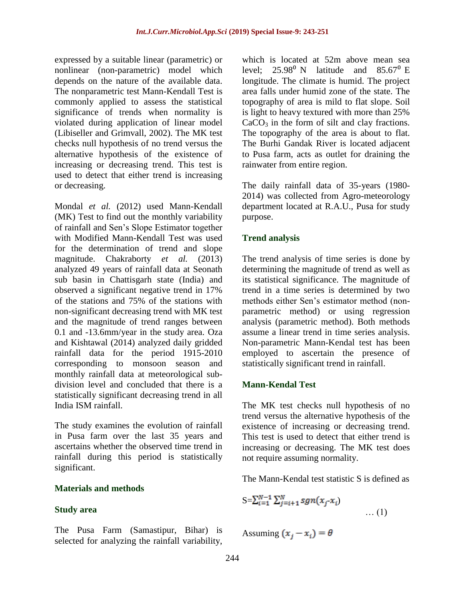expressed by a suitable linear (parametric) or nonlinear (non-parametric) model which depends on the nature of the available data. The nonparametric test Mann-Kendall Test is commonly applied to assess the statistical significance of trends when normality is violated during application of linear model (Libiseller and Grimvall, 2002). The MK test checks null hypothesis of no trend versus the alternative hypothesis of the existence of increasing or decreasing trend. This test is used to detect that either trend is increasing or decreasing.

Mondal *et al.* (2012) used Mann-Kendall (MK) Test to find out the monthly variability of rainfall and Sen's Slope Estimator together with Modified Mann-Kendall Test was used for the determination of trend and slope magnitude. Chakraborty *et al.* (2013) analyzed 49 years of rainfall data at Seonath sub basin in Chattisgarh state (India) and observed a significant negative trend in 17% of the stations and 75% of the stations with non-significant decreasing trend with MK test and the magnitude of trend ranges between 0.1 and -13.6mm/year in the study area. Oza and Kishtawal (2014) analyzed daily gridded rainfall data for the period 1915-2010 corresponding to monsoon season and monthly rainfall data at meteorological subdivision level and concluded that there is a statistically significant decreasing trend in all India ISM rainfall.

The study examines the evolution of rainfall in Pusa farm over the last 35 years and ascertains whether the observed time trend in rainfall during this period is statistically significant.

### **Materials and methods**

### **Study area**

The Pusa Farm (Samastipur, Bihar) is selected for analyzing the rainfall variability, which is located at 52m above mean sea level:  $25.98^{\circ}$  N latitude and  $85.67^{\circ}$  E longitude. The climate is humid. The project area falls under humid zone of the state. The topography of area is mild to flat slope. Soil is light to heavy textured with more than 25%  $CaCO<sub>3</sub>$  in the form of silt and clay fractions. The topography of the area is about to flat. The Burhi Gandak River is located adjacent to Pusa farm, acts as outlet for draining the rainwater from entire region.

The daily rainfall data of 35-years (1980- 2014) was collected from Agro-meteorology department located at R.A.U., Pusa for study purpose.

### **Trend analysis**

The trend analysis of time series is done by determining the magnitude of trend as well as its statistical significance. The magnitude of trend in a time series is determined by two methods either Sen's estimator method (nonparametric method) or using regression analysis (parametric method). Both methods assume a linear trend in time series analysis. Non-parametric Mann-Kendal test has been employed to ascertain the presence of statistically significant trend in rainfall.

### **Mann-Kendal Test**

The MK test checks null hypothesis of no trend versus the alternative hypothesis of the existence of increasing or decreasing trend. This test is used to detect that either trend is increasing or decreasing. The MK test does not require assuming normality.

The Mann-Kendal test statistic S is defined as

$$
S = \sum_{i=1}^{N-1} \sum_{j=i+1}^{N} sgn(x_j \cdot x_i) \dots (1)
$$

Assuming  $(x_i - x_i) = \theta$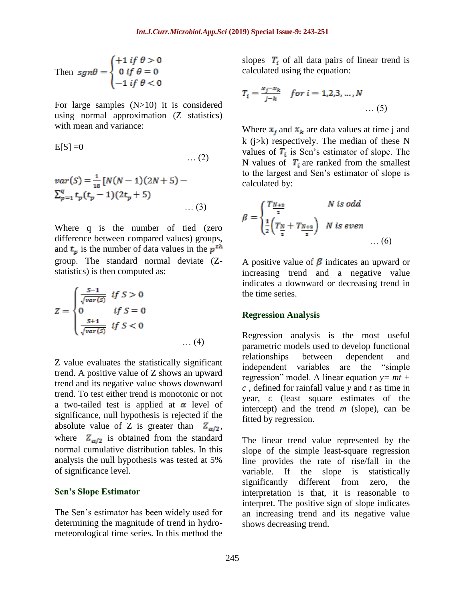Then 
$$
sgn\theta = \begin{cases} +1 & \text{if } \theta > 0 \\ 0 & \text{if } \theta = 0 \\ -1 & \text{if } \theta < 0 \end{cases}
$$

For large samples (N>10) it is considered using normal approximation (Z statistics) with mean and variance:

$$
E[S] = 0 \qquad \qquad \dots (2)
$$

$$
var(S) = \frac{1}{18} [N(N-1)(2N+5) -
$$
  

$$
\sum_{p=1}^{q} t_p (t_p - 1)(2t_p + 5)
$$
...(3)

Where q is the number of tied (zero difference between compared values) groups, and  $t_p$  is the number of data values in the  $p^{th}$ group. The standard normal deviate (Zstatistics) is then computed as:

$$
Z = \begin{cases} \frac{S-1}{\sqrt{var(S)}} & \text{if } S > 0\\ 0 & \text{if } S = 0\\ \frac{S+1}{\sqrt{var(S)}} & \text{if } S < 0 \end{cases} \tag{4}
$$

Z value evaluates the statistically significant trend. A positive value of Z shows an upward trend and its negative value shows downward trend. To test either trend is monotonic or not a two-tailed test is applied at  $\alpha$  level of significance, null hypothesis is rejected if the absolute value of Z is greater than  $Z_{\alpha/2}$ , where  $Z_{\alpha/2}$  is obtained from the standard normal cumulative distribution tables. In this analysis the null hypothesis was tested at 5% of significance level.

#### **Sen's Slope Estimator**

The Sen's estimator has been widely used for determining the magnitude of trend in hydrometeorological time series. In this method the slopes  $T_i$  of all data pairs of linear trend is calculated using the equation:

$$
T_i = \frac{x_j - x_k}{j - k} \quad \text{for } i = 1, 2, 3, \dots, N \quad \dots (5)
$$

Where  $x_i$  and  $x_k$  are data values at time j and k (j>k) respectively. The median of these N values of  $T_i$  is Sen's estimator of slope. The N values of  $T_i$  are ranked from the smallest to the largest and Sen's estimator of slope is calculated by:

$$
\beta = \begin{cases} \frac{T_{N+2}}{2} & N \text{ is odd} \\ \frac{1}{2} \left( T_{\frac{N}{2}} + T_{\frac{N+2}{2}} \right) & N \text{ is even} \\ \dots (6) & \dots (6) \end{cases}
$$

A positive value of  $\beta$  indicates an upward or increasing trend and a negative value indicates a downward or decreasing trend in the time series.

#### **Regression Analysis**

Regression analysis is the most useful parametric models used to develop functional relationships between dependent and independent variables are the "simple regression" model. A linear equation *y= mt + c* , defined for rainfall value *y* and *t* as time in year, *c* (least square estimates of the intercept) and the trend *m* (slope), can be fitted by regression.

The linear trend value represented by the slope of the simple least-square regression line provides the rate of rise/fall in the variable. If the slope is statistically significantly different from zero, the interpretation is that, it is reasonable to interpret. The positive sign of slope indicates an increasing trend and its negative value shows decreasing trend.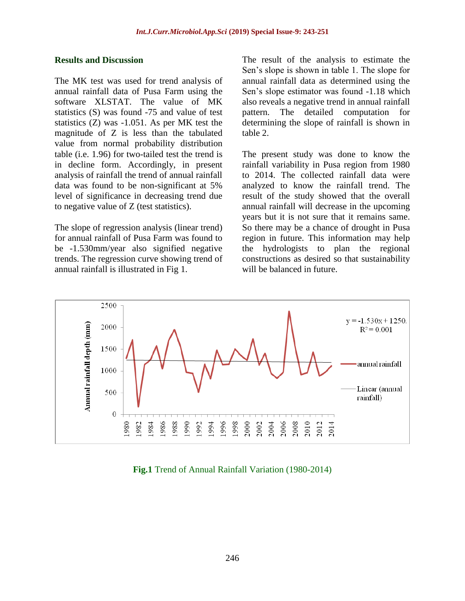#### **Results and Discussion**

The MK test was used for trend analysis of annual rainfall data of Pusa Farm using the software XLSTAT. The value of MK statistics (S) was found -75 and value of test statistics (Z) was -1.051. As per MK test the magnitude of Z is less than the tabulated value from normal probability distribution table (i.e. 1.96) for two-tailed test the trend is in decline form. Accordingly, in present analysis of rainfall the trend of annual rainfall data was found to be non-significant at 5% level of significance in decreasing trend due to negative value of Z (test statistics).

The slope of regression analysis (linear trend) for annual rainfall of Pusa Farm was found to be -1.530mm/year also signified negative trends. The regression curve showing trend of annual rainfall is illustrated in Fig 1.

The result of the analysis to estimate the Sen's slope is shown in table 1. The slope for annual rainfall data as determined using the Sen's slope estimator was found -1.18 which also reveals a negative trend in annual rainfall pattern. The detailed computation for determining the slope of rainfall is shown in table 2.

The present study was done to know the rainfall variability in Pusa region from 1980 to 2014. The collected rainfall data were analyzed to know the rainfall trend. The result of the study showed that the overall annual rainfall will decrease in the upcoming years but it is not sure that it remains same. So there may be a chance of drought in Pusa region in future. This information may help the hydrologists to plan the regional constructions as desired so that sustainability will be balanced in future.



**Fig.1** Trend of Annual Rainfall Variation (1980-2014)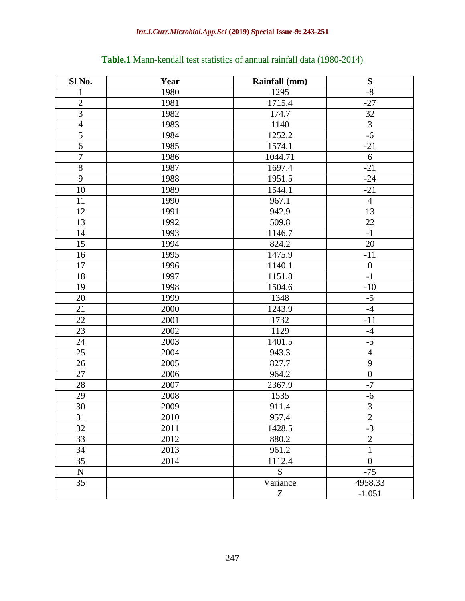| Sl No.           | Year | Rainfall (mm) | ${\bf S}$        |
|------------------|------|---------------|------------------|
| 1                | 1980 | 1295          | $\mbox{-}8$      |
| $\overline{2}$   | 1981 | 1715.4        | $-27$            |
| $\overline{3}$   | 1982 | 174.7         | 32               |
| $\overline{4}$   | 1983 | 1140          | 3                |
| 5                | 1984 | 1252.2        | $-6$             |
| $\boldsymbol{6}$ | 1985 | 1574.1        | $-21$            |
| $\overline{7}$   | 1986 | 1044.71       | 6                |
| $8\,$            | 1987 | 1697.4        | $-21$            |
| 9                | 1988 | 1951.5        | $-24$            |
| 10               | 1989 | 1544.1        | $-21$            |
| 11               | 1990 | 967.1         | $\overline{4}$   |
| 12               | 1991 | 942.9         | 13               |
| 13               | 1992 | 509.8         | 22               |
| 14               | 1993 | 1146.7        | $-1$             |
| 15               | 1994 | 824.2         | 20               |
| 16               | 1995 | 1475.9        | $-11$            |
| 17               | 1996 | 1140.1        | $\boldsymbol{0}$ |
| 18               | 1997 | 1151.8        | $-1$             |
| 19               | 1998 | 1504.6        | $-10$            |
| 20               | 1999 | 1348          | $-5$             |
| 21               | 2000 | 1243.9        | $-4$             |
| 22               | 2001 | 1732          | $-11$            |
| 23               | 2002 | 1129          | $-4$             |
| 24               | 2003 | 1401.5        | $-5$             |
| 25               | 2004 | 943.3         | $\overline{4}$   |
| 26               | 2005 | 827.7         | $\overline{9}$   |
| 27               | 2006 | 964.2         | $\overline{0}$   |
| 28               | 2007 | 2367.9        | $-7$             |
| 29               | 2008 | 1535          | $-6$             |
| 30               | 2009 | 911.4         | 3                |
| 31               | 2010 | 957.4         | $\overline{2}$   |
| 32               | 2011 | 1428.5        | $-3$             |
| 33               | 2012 | 880.2         | $\overline{2}$   |
| 34               | 2013 | 961.2         | $\mathbf{1}$     |
| 35               | 2014 | 1112.4        | $\boldsymbol{0}$ |
| ${\bf N}$        |      | S             | $-75$            |
| 35               |      | Variance      | 4958.33          |
|                  |      | Z             | $-1.051$         |

# **Table.1** Mann-kendall test statistics of annual rainfall data (1980-2014)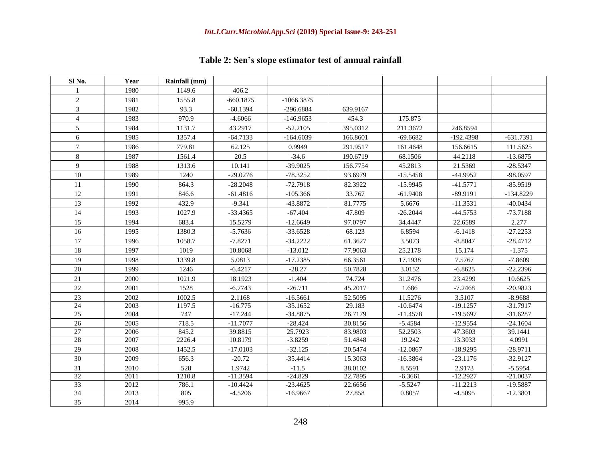| Sl No.                   | Year         | Rainfall (mm) |                         |                          |                   |                     |                         |                          |
|--------------------------|--------------|---------------|-------------------------|--------------------------|-------------------|---------------------|-------------------------|--------------------------|
|                          | 1980         | 1149.6        | 406.2                   |                          |                   |                     |                         |                          |
| $\overline{c}$           | 1981         | 1555.8        | $-660.1875$             | $-1066.3875$             |                   |                     |                         |                          |
| 3                        | 1982         | 93.3          | $-60.1394$              | $-296.6884$              | 639.9167          |                     |                         |                          |
| $\overline{\mathcal{L}}$ | 1983         | 970.9         | $-4.6066$               | $-146.9653$              | 454.3             | 175.875             |                         |                          |
| 5                        | 1984         | 1131.7        | 43.2917                 | $-52.2105$               | 395.0312          | 211.3672            | 246.8594                |                          |
| 6                        | 1985         | 1357.4        | $-64.7133$              | $-164.6039$              | 166.8601          | $-69.6682$          | $-192.4398$             | $-631.7391$              |
| $\overline{7}$           | 1986         | 779.81        | 62.125                  | 0.9949                   | 291.9517          | 161.4648            | 156.6615                | 111.5625                 |
| 8                        | 1987         | 1561.4        | 20.5                    | $-34.6$                  | 190.6719          | 68.1506             | 44.2118                 | $-13.6875$               |
| 9                        | 1988         | 1313.6        | 10.141                  | $-39.9025$               | 156.7754          | 45.2813             | 21.5369                 | $-28.5347$               |
| 10                       | 1989         | 1240          | $-29.0276$              | $-78.3252$               | 93.6979           | $-15.5458$          | $-44.9952$              | -98.0597                 |
| 11                       | 1990         | 864.3         | $-28.2048$              | $-72.7918$               | 82.3922           | $-15.9945$          | $-41.5771$              | $-85.9519$               |
| 12                       | 1991         | 846.6         | $-61.4816$              | $-105.366$               | 33.767            | $-61.9408$          | $-89.9191$              | $-134.8229$              |
| 13                       | 1992         | 432.9         | $-9.341$                | -43.8872                 | 81.7775           | 5.6676              | $-11.3531$              | $-40.0434$               |
| 14                       | 1993         | 1027.9        | $-33.4365$              | $-67.404$                | 47.809            | $-26.2044$          | $-44.5753$              | $-73.7188$               |
| 15                       | 1994         | 683.4         | 15.5279                 | $-12.6649$               | 97.0797           | 34.4447             | 22.6589                 | 2.277                    |
| 16                       | 1995         | 1380.3        | $-5.7636$               | $-33.6528$               | 68.123            | 6.8594              | $-6.1418$               | $-27.2253$               |
| 17                       | 1996         | 1058.7        | $-7.8271$               | $-34.2222$               | 61.3627           | 3.5073              | $-8.8047$               | $-28.4712$               |
| 18                       | 1997         | 1019          | 10.8068                 | $-13.012$                | 77.9063           | 25.2178             | 15.174                  | $-1.375$                 |
| 19                       | 1998         | 1339.8        | 5.0813                  | $-17.2385$               | 66.3561           | 17.1938             | 7.5767                  | $-7.8609$                |
| $20\,$                   | 1999         | 1246          | $-6.4217$               | $-28.27$                 | 50.7828           | 3.0152              | $-6.8625$               | $-22.2396$               |
| 21                       | 2000         | 1021.9        | 18.1923                 | $-1.404$                 | 74.724            | 31.2476             | 23.4299                 | 10.6625                  |
| 22                       | 2001         | 1528          | $-6.7743$               | $-26.711$                | 45.2017           | 1.686               | $-7.2468$               | $-20.9823$               |
| 23                       | 2002         | 1002.5        | 2.1168                  | $-16.5661$               | 52.5095           | 11.5276             | 3.5107                  | $-8.9688$                |
| 24                       | 2003         | 1197.5        | $-16.775$               | $-35.1652$               | 29.183            | $-10.6474$          | $-19.1257$              | $-31.7917$               |
| 25                       | 2004         | 747           | $-17.244$               | $-34.8875$               | 26.7179           | $-11.4578$          | $-19.5697$              | $-31.6287$               |
| 26                       | 2005         | 718.5         | $-11.7077$              | $-28.424$                | 30.8156           | $-5.4584$           | $-12.9554$              | $-24.1604$               |
| $\overline{27}$          | 2006         | 845.2         | 39.8815                 | 25.7923                  | 83.9803           | 52.2503             | 47.3603                 | 39.1441                  |
| 28                       | 2007         | 2226.4        | 10.8179                 | $-3.8259$                | 51.4848           | 19.242              | 13.3033                 | 4.0991                   |
| 29                       | 2008         | 1452.5        | $-17.0103$              | $-32.125$                | 20.5474           | $-12.0867$          | $-18.9295$              | $-28.9711$               |
| 30                       | 2009         | 656.3         | $-20.72$                | $-35.4414$               | 15.3063           | $-16.3864$          | $-23.1176$              | $-32.9127$               |
| 31                       | 2010         | 528           | 1.9742                  | $-11.5$                  | 38.0102           | 8.5591              | 2.9173                  | $-5.5954$                |
| 32                       | 2011         | 1210.8        | $-11.3594$              | $-24.829$                | 22.7895           | $-6.3661$           | $-12.2927$              | $-21.0037$               |
| 33<br>34                 | 2012<br>2013 | 786.1<br>805  | $-10.4424$<br>$-4.5206$ | $-23.4625$<br>$-16.9667$ | 22.6656<br>27.858 | $-5.5247$<br>0.8057 | $-11.2213$<br>$-4.5095$ | $-19.5887$<br>$-12.3801$ |
| 35                       | 2014         | 995.9         |                         |                          |                   |                     |                         |                          |
|                          |              |               |                         |                          |                   |                     |                         |                          |

# **Table 2: Sen's slope estimator test of annual rainfall**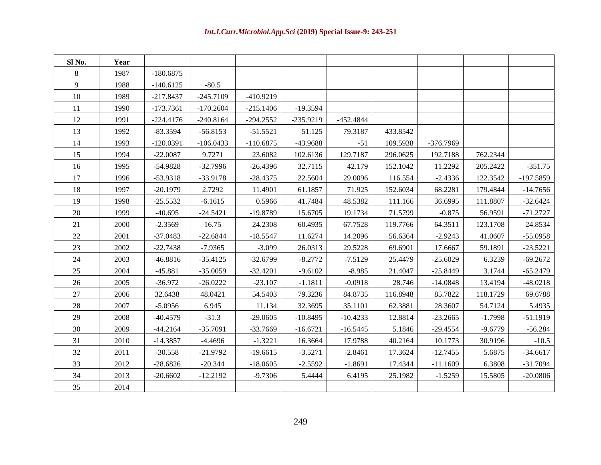| Sl No. | Year |             |             |             |             |             |          |            |           |             |
|--------|------|-------------|-------------|-------------|-------------|-------------|----------|------------|-----------|-------------|
| 8      | 1987 | $-180.6875$ |             |             |             |             |          |            |           |             |
| 9      | 1988 | $-140.6125$ | $-80.5$     |             |             |             |          |            |           |             |
| 10     | 1989 | $-217.8437$ | $-245.7109$ | $-410.9219$ |             |             |          |            |           |             |
| 11     | 1990 | $-173.7361$ | $-170.2604$ | $-215.1406$ | $-19.3594$  |             |          |            |           |             |
| 12     | 1991 | $-224.4176$ | $-240.8164$ | $-294.2552$ | $-235.9219$ | $-452.4844$ |          |            |           |             |
| 13     | 1992 | $-83.3594$  | $-56.8153$  | $-51.5521$  | 51.125      | 79.3187     | 433.8542 |            |           |             |
| 14     | 1993 | $-120.0391$ | $-106.0433$ | $-110.6875$ | -43.9688    | $-51$       | 109.5938 | -376.7969  |           |             |
| 15     | 1994 | $-22.0087$  | 9.7271      | 23.6082     | 102.6136    | 129.7187    | 296.0625 | 192.7188   | 762.2344  |             |
| 16     | 1995 | $-54.9828$  | $-32.7996$  | $-26.4396$  | 32.7115     | 42.179      | 152.1042 | 11.2292    | 205.2422  | $-351.75$   |
| 17     | 1996 | $-53.9318$  | $-33.9178$  | $-28.4375$  | 22.5604     | 29.0096     | 116.554  | $-2.4336$  | 122.3542  | $-197.5859$ |
| 18     | 1997 | $-20.1979$  | 2.7292      | 11.4901     | 61.1857     | 71.925      | 152.6034 | 68.2281    | 179.4844  | $-14.7656$  |
| 19     | 1998 | $-25.5532$  | $-6.1615$   | 0.5966      | 41.7484     | 48.5382     | 111.166  | 36.6995    | 111.8807  | $-32.6424$  |
| 20     | 1999 | $-40.695$   | $-24.5421$  | -19.8789    | 15.6705     | 19.1734     | 71.5799  | $-0.875$   | 56.9591   | $-71.2727$  |
| 21     | 2000 | $-2.3569$   | 16.75       | 24.2308     | 60.4935     | 67.7528     | 119.7766 | 64.3511    | 123.1708  | 24.8534     |
| $22\,$ | 2001 | $-37.0483$  | $-22.6844$  | $-18.5547$  | 11.6274     | 14.2096     | 56.6364  | $-2.9243$  | 41.0607   | $-55.0958$  |
| 23     | 2002 | $-22.7438$  | $-7.9365$   | $-3.099$    | 26.0313     | 29.5228     | 69.6901  | 17.6667    | 59.1891   | $-23.5221$  |
| 24     | 2003 | $-46.8816$  | $-35.4125$  | $-32.6799$  | $-8.2772$   | $-7.5129$   | 25.4479  | $-25.6029$ | 6.3239    | $-69.2672$  |
| 25     | 2004 | $-45.881$   | $-35.0059$  | $-32.4201$  | $-9.6102$   | $-8.985$    | 21.4047  | $-25.8449$ | 3.1744    | $-65.2479$  |
| 26     | 2005 | $-36.972$   | $-26.0222$  | $-23.107$   | $-1.1811$   | $-0.0918$   | 28.746   | $-14.0848$ | 13.4194   | $-48.0218$  |
| 27     | 2006 | 32.6438     | 48.0421     | 54.5403     | 79.3236     | 84.8735     | 116.8948 | 85.7822    | 118.1729  | 69.6788     |
| 28     | 2007 | $-5.0956$   | 6.945       | 11.134      | 32.3695     | 35.1101     | 62.3881  | 28.3607    | 54.7124   | 5.4935      |
| 29     | 2008 | $-40.4579$  | $-31.3$     | $-29.0605$  | $-10.8495$  | $-10.4233$  | 12.8814  | $-23.2665$ | $-1.7998$ | $-51.1919$  |
| 30     | 2009 | $-44.2164$  | $-35.7091$  | -33.7669    | $-16.6721$  | $-16.5445$  | 5.1846   | $-29.4554$ | $-9.6779$ | $-56.284$   |
| 31     | 2010 | $-14.3857$  | $-4.4696$   | $-1.3221$   | 16.3664     | 17.9788     | 40.2164  | 10.1773    | 30.9196   | $-10.5$     |
| 32     | 2011 | $-30.558$   | $-21.9792$  | $-19.6615$  | $-3.5271$   | $-2.8461$   | 17.3624  | $-12.7455$ | 5.6875    | $-34.6617$  |
| 33     | 2012 | $-28.6826$  | $-20.344$   | $-18.0605$  | $-2.5592$   | $-1.8691$   | 17.4344  | $-11.1609$ | 6.3808    | $-31.7094$  |
| 34     | 2013 | $-20.6602$  | $-12.2192$  | $-9.7306$   | 5.4444      | 6.4195      | 25.1982  | $-1.5259$  | 15.5805   | $-20.0806$  |
| 35     | 2014 |             |             |             |             |             |          |            |           |             |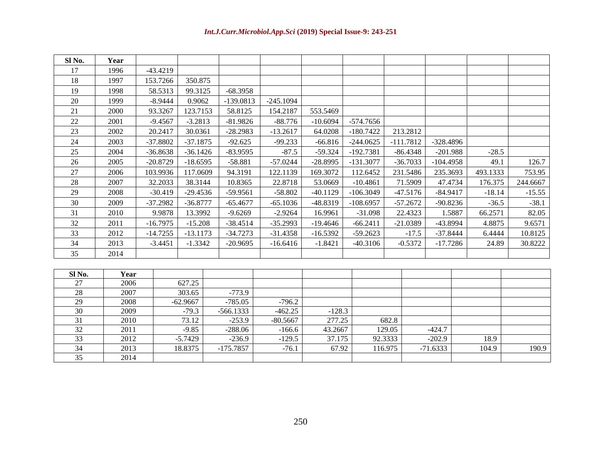| Sl No.          | Year         |            |                      |                         |                     |                 |             |                    |                        |               |          |
|-----------------|--------------|------------|----------------------|-------------------------|---------------------|-----------------|-------------|--------------------|------------------------|---------------|----------|
| 17              | 1996         | $-43.4219$ |                      |                         |                     |                 |             |                    |                        |               |          |
| 18              | 1997         | 153.7266   | 350.875              |                         |                     |                 |             |                    |                        |               |          |
| 19              | 1998         | 58.5313    | 99.3125              | $-68.3958$              |                     |                 |             |                    |                        |               |          |
| 20              | 1999         | $-8.9444$  | 0.9062               | $-139.0813$             | $-245.1094$         |                 |             |                    |                        |               |          |
| 21              | 2000         | 93.3267    | 123.7153             | 58.8125                 | 154.2187            | 553.5469        |             |                    |                        |               |          |
| 22              | 2001         | $-9.4567$  | $-3.2813$            | $-81.9826$              | $-88.776$           | $-10.6094$      | $-574.7656$ |                    |                        |               |          |
| 23              | 2002         | 20.2417    | 30.0361              | $-28.2983$              | $-13.2617$          | 64.0208         | $-180.7422$ | 213.2812           |                        |               |          |
| 24              | 2003         | $-37.8802$ | $-37.1875$           | $-92.625$               | $-99.233$           | $-66.816$       | $-244.0625$ | $-111.7812$        | $-328.4896$            |               |          |
| 25              | 2004         | $-36.8638$ | $-36.1426$           | $-83.9595$              | $-87.5$             | $-59.324$       | $-192.7381$ | $-86.4348$         | $-201.988$             | $-28.5$       |          |
| 26              | 2005         | $-20.8729$ | $-18.6595$           | $-58.881$               | $-57.0244$          | $-28.8995$      | $-131.3077$ | $-36.7033$         | $-104.4958$            | 49.1          | 126.7    |
| 27              | 2006         | 103.9936   | 117.0609             | 94.3191                 | 122.1139            | 169.3072        | 112.6452    | 231.5486           | 235.3693               | 493.1333      | 753.95   |
| $28\,$          | 2007         | 32.2033    | 38.3144              | 10.8365                 | 22.8718             | 53.0669         | $-10.4861$  | 71.5909            | 47.4734                | 176.375       | 244.6667 |
| 29              | 2008         | $-30.419$  | $-29.4536$           | $-59.9561$              | $-58.802$           | $-40.1129$      | $-106.3049$ | $-47.5176$         | $-84.9417$             | $-18.14$      | $-15.55$ |
| 30              | 2009         | $-37.2982$ | $-36.8777$           | $-65.4677$              | $-65.1036$          | -48.8319        | $-108.6957$ | $-57.2672$         | $-90.8236$             | $-36.5$       | $-38.1$  |
| 31              | 2010         | 9.9878     | 13.3992              | $-9.6269$               | $-2.9264$           | 16.9961         | $-31.098$   | 22.4323            | 1.5887                 | 66.2571       | 82.05    |
| 32              | 2011         | $-16.7975$ | $-15.208$            | $-38.4514$              | $-35.2993$          | $-19.4646$      | $-66.2411$  | $-21.0389$         | -43.8994               | 4.8875        | 9.6571   |
| 33              | 2012         | $-14.7255$ | $-13.1173$           | $-34.7273$              | $-31.4358$          | $-16.5392$      | $-59.2623$  | $-17.5$            | $-37.8444$             | 6.4444        | 10.8125  |
| 34              | 2013         | $-3.4451$  | $-1.3342$            | $-20.9695$              | $-16.6416$          | $-1.8421$       | $-40.3106$  | $-0.5372$          | $-17.7286$             | 24.89         | 30.8222  |
| 35              | 2014         |            |                      |                         |                     |                 |             |                    |                        |               |          |
|                 |              |            |                      |                         |                     |                 |             |                    |                        |               |          |
| Sl No.          | Year         |            |                      |                         |                     |                 |             |                    |                        |               |          |
| 27              | 2006         |            | 627.25               |                         |                     |                 |             |                    |                        |               |          |
| 28              | 2007         |            | 303.65               | $-773.9$                |                     |                 |             |                    |                        |               |          |
| $\overline{29}$ | 2008         |            | $-62.9667$           | $-785.05$               | $-796.2$            |                 |             |                    |                        |               |          |
| 30              | 2009         |            | $-79.3$              | $-566.1333$             | $-462.25$           | $-128.3$        |             |                    |                        |               |          |
| $\overline{31}$ | 2010         |            | 73.12                | $-253.9$                | $-80.5667$          | 277.25          |             | 682.8              |                        |               |          |
| 32              | 2011         |            | $-9.85$              | $-288.06$               | $-166.6$            | 43.2667         |             | 129.05             | $-424.7$               |               |          |
| 33<br>34        | 2012<br>2013 |            | $-5.7429$<br>18.8375 | $-236.9$<br>$-175.7857$ | $-129.5$<br>$-76.1$ | 37.175<br>67.92 |             | 92.3333<br>116.975 | $-202.9$<br>$-71.6333$ | 18.9<br>104.9 | 190.9    |
| 35              | 2014         |            |                      |                         |                     |                 |             |                    |                        |               |          |